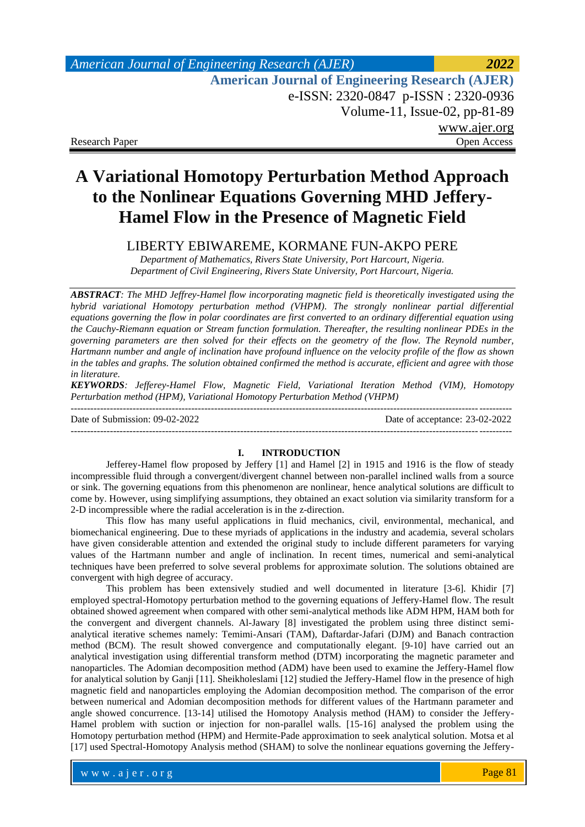# *American Journal of Engineering Research (AJER) 2022*  **American Journal of Engineering Research (AJER)** e-ISSN: 2320-0847 p-ISSN : 2320-0936 Volume-11, Issue-02, pp-81-89 [www.ajer.org](http://www.ajer.org/) Research Paper **Open Access** Open Access **Open Access**

# **A Variational Homotopy Perturbation Method Approach to the Nonlinear Equations Governing MHD Jeffery-Hamel Flow in the Presence of Magnetic Field**

LIBERTY EBIWAREME, KORMANE FUN-AKPO PERE

*Department of Mathematics, Rivers State University, Port Harcourt, Nigeria. Department of Civil Engineering, Rivers State University, Port Harcourt, Nigeria.*

*ABSTRACT: The MHD Jeffrey-Hamel flow incorporating magnetic field is theoretically investigated using the hybrid variational Homotopy perturbation method (VHPM). The strongly nonlinear partial differential equations governing the flow in polar coordinates are first converted to an ordinary differential equation using the Cauchy-Riemann equation or Stream function formulation. Thereafter, the resulting nonlinear PDEs in the governing parameters are then solved for their effects on the geometry of the flow. The Reynold number, Hartmann number and angle of inclination have profound influence on the velocity profile of the flow as shown in the tables and graphs. The solution obtained confirmed the method is accurate, efficient and agree with those in literature.*

*KEYWORDS: Jefferey-Hamel Flow, Magnetic Field, Variational Iteration Method (VIM), Homotopy Perturbation method (HPM), Variational Homotopy Perturbation Method (VHPM)*

Date of Submission: 09-02-2022 Date of acceptance: 23-02-2022

---------------------------------------------------------------------------------------------------------------------------------------

### **I. INTRODUCTION**

---------------------------------------------------------------------------------------------------------------------------------------

Jefferey-Hamel flow proposed by Jeffery [1] and Hamel [2] in 1915 and 1916 is the flow of steady incompressible fluid through a convergent/divergent channel between non-parallel inclined walls from a source or sink. The governing equations from this phenomenon are nonlinear, hence analytical solutions are difficult to come by. However, using simplifying assumptions, they obtained an exact solution via similarity transform for a 2-D incompressible where the radial acceleration is in the z-direction.

This flow has many useful applications in fluid mechanics, civil, environmental, mechanical, and biomechanical engineering. Due to these myriads of applications in the industry and academia, several scholars have given considerable attention and extended the original study to include different parameters for varying values of the Hartmann number and angle of inclination. In recent times, numerical and semi-analytical techniques have been preferred to solve several problems for approximate solution. The solutions obtained are convergent with high degree of accuracy.

This problem has been extensively studied and well documented in literature [3-6]. Khidir [7] employed spectral-Homotopy perturbation method to the governing equations of Jeffery-Hamel flow. The result obtained showed agreement when compared with other semi-analytical methods like ADM HPM, HAM both for the convergent and divergent channels. Al-Jawary [8] investigated the problem using three distinct semianalytical iterative schemes namely: Temimi-Ansari (TAM), Daftardar-Jafari (DJM) and Banach contraction method (BCM). The result showed convergence and computationally elegant. [9-10] have carried out an analytical investigation using differential transform method (DTM) incorporating the magnetic parameter and nanoparticles. The Adomian decomposition method (ADM) have been used to examine the Jeffery-Hamel flow for analytical solution by Ganji [11]. Sheikholeslami [12] studied the Jeffery-Hamel flow in the presence of high magnetic field and nanoparticles employing the Adomian decomposition method. The comparison of the error between numerical and Adomian decomposition methods for different values of the Hartmann parameter and angle showed concurrence. [13-14] utilised the Homotopy Analysis method (HAM) to consider the Jeffery-Hamel problem with suction or injection for non-parallel walls. [15-16] analysed the problem using the Homotopy perturbation method (HPM) and Hermite-Pade approximation to seek analytical solution. Motsa et al [17] used Spectral-Homotopy Analysis method (SHAM) to solve the nonlinear equations governing the Jeffery-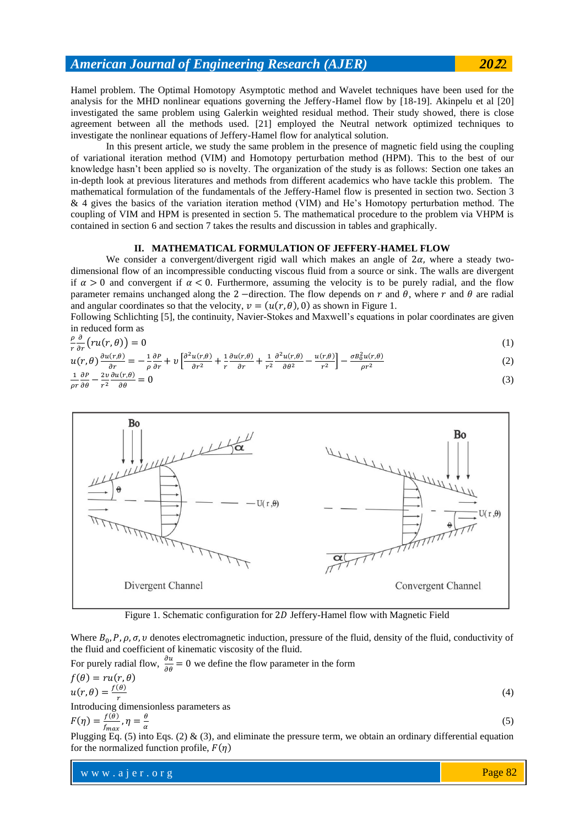Hamel problem. The Optimal Homotopy Asymptotic method and Wavelet techniques have been used for the analysis for the MHD nonlinear equations governing the Jeffery-Hamel flow by [18-19]. Akinpelu et al [20] investigated the same problem using Galerkin weighted residual method. Their study showed, there is close agreement between all the methods used. [21] employed the Neutral network optimized techniques to investigate the nonlinear equations of Jeffery-Hamel flow for analytical solution.

In this present article, we study the same problem in the presence of magnetic field using the coupling of variational iteration method (VIM) and Homotopy perturbation method (HPM). This to the best of our knowledge hasn't been applied so is novelty. The organization of the study is as follows: Section one takes an in-depth look at previous literatures and methods from different academics who have tackle this problem. The mathematical formulation of the fundamentals of the Jeffery-Hamel flow is presented in section two. Section 3 & 4 gives the basics of the variation iteration method (VIM) and He's Homotopy perturbation method. The coupling of VIM and HPM is presented in section 5. The mathematical procedure to the problem via VHPM is contained in section 6 and section 7 takes the results and discussion in tables and graphically.

## **II. MATHEMATICAL FORMULATION OF JEFFERY-HAMEL FLOW**

We consider a convergent/divergent rigid wall which makes an angle of  $2\alpha$ , where a steady twodimensional flow of an incompressible conducting viscous fluid from a source or sink. The walls are divergent if  $\alpha > 0$  and convergent if  $\alpha < 0$ . Furthermore, assuming the velocity is to be purely radial, and the flow parameter remains unchanged along the 2 −direction. The flow depends on r and  $\theta$ , where r and  $\theta$  are radial and angular coordinates so that the velocity,  $v = (u(r, \theta), 0)$  as shown in Figure 1.

Following Schlichting [5], the continuity, Navier-Stokes and Maxwell's equations in polar coordinates are given in reduced form as

$$
\frac{\rho}{r}\frac{\partial}{\partial r}\left(ru(r,\theta)\right) = 0\tag{1}
$$

$$
u(r,\theta)\frac{\partial u(r,\theta)}{\partial r} = -\frac{1}{\rho}\frac{\partial P}{\partial r} + v\left[\frac{\partial^2 u(r,\theta)}{\partial r^2} + \frac{1}{r}\frac{\partial u(r,\theta)}{\partial r} + \frac{1}{r^2}\frac{\partial^2 u(r,\theta)}{\partial \theta^2} - \frac{u(r,\theta)}{r^2}\right] - \frac{\sigma B_0^2 u(r,\theta)}{\rho r^2}
$$
(2)

$$
\frac{1}{\rho r} \frac{\partial P}{\partial \theta} - \frac{2v}{r^2} \frac{\partial u(r,\theta)}{\partial \theta} = 0
$$
\n(3)





Where  $B_0$ ,  $P$ ,  $\rho$ ,  $\sigma$ ,  $\nu$  denotes electromagnetic induction, pressure of the fluid, density of the fluid, conductivity of the fluid and coefficient of kinematic viscosity of the fluid.

For purely radial flow, 
$$
\frac{\partial u}{\partial \theta} = 0
$$
 we define the flow parameter in the form  
\n
$$
f(\theta) = ru(r, \theta)
$$
\n
$$
u(r, \theta) = \frac{f(\theta)}{r}
$$
\nIntroducing dimensionless parameters as  
\n
$$
F(\eta) = \frac{f(\theta)}{f_{max}}, \eta = \frac{\theta}{\alpha}
$$
\n(5)

 $\alpha$ Plugging Eq. (5) into Eqs. (2)  $\&$  (3), and eliminate the pressure term, we obtain an ordinary differential equation for the normalized function profile,  $F(\eta)$ 

www.ajer.org where  $\mathcal{L} = \mathcal{L} \left( \mathcal{L} \right)$  is the set of  $\mathcal{L} \left( \mathcal{L} \right)$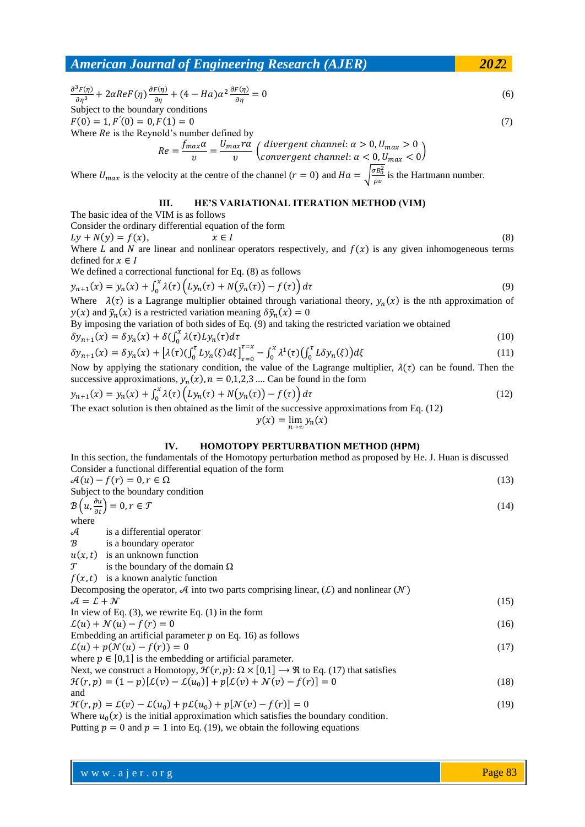$\partial^3 F(\eta)$  $\frac{\partial^3 F(\eta)}{\partial \eta^3} + 2\alpha ReF(\eta) \frac{\partial F(\eta)}{\partial \eta} + (4 - Ha)\alpha^2 \frac{\partial F(\eta)}{\partial \eta} = 0$  (6) Subject to the boundary conditions  $F(0) = 1, F'(0) = 0, F(1) = 0$  (7) Where  $Re$  is the Reynold's number defined by  $Re = \frac{f_{max} \alpha}{\sigma}$  $\frac{ax\alpha}{v} = \frac{U_{max}r\alpha}{v}$  $\frac{d\alpha x^{T\alpha}}{d\alpha}\left(\frac{divergent\ channel: \alpha > 0, U_{max} > 0}{convergent\ channel: \alpha < 0, U_{max} < 0}\right)$ convergent channel:  $\alpha < 0, U_{max} < 0$ 

Where  $U_{max}$  is the velocity at the centre of the channel  $(r = 0)$  and  $Ha = \sqrt{\frac{\sigma B_0^2}{g}}$  $\frac{\partial B_0}{\partial v}$  is the Hartmann number.

## **III. HE'S VARIATIONAL ITERATION METHOD (VIM)**

The basic idea of the VIM is as follows

Consider the ordinary differential equation of the form

 $Ly + N(y) = f(x),$   $x \in I$  (8)

Where L and N are linear and nonlinear operators respectively, and  $f(x)$  is any given inhomogeneous terms defined for  $x \in I$ 

We defined a correctional functional for Eq. (8) as follows

$$
y_{n+1}(x) = y_n(x) + \int_0^x \lambda(\tau) \left( L y_n(\tau) + N(\tilde{y}_n(\tau)) - f(\tau) \right) d\tau
$$
\n(9)

Where  $\lambda(\tau)$  is a Lagrange multiplier obtained through variational theory,  $y_n(x)$  is the nth approximation of  $y(x)$  and  $\tilde{y}_n(x)$  is a restricted variation meaning  $\delta \tilde{y}_n(x) = 0$ 

By imposing the variation of both sides of Eq. (9) and taking the restricted variation we obtained

$$
\delta y_{n+1}(x) = \delta y_n(x) + \delta \left( \int_0^x \lambda(\tau) L y_n(\tau) d\tau \right)
$$
\n
$$
\delta y_{n+1}(x) = \delta y_n(x) + \delta \left( \int_0^x \lambda(\tau) L y_n(\tau) d\tau \right)
$$
\n
$$
\delta y_{n+1}(x) = \delta y_n(x) + \delta \left( \int_0^x \lambda(\tau) L y_n(\tau) d\tau \right)
$$
\n
$$
\delta y_{n+1}(x) = \delta y_n(x) + \delta \left( \int_0^x \lambda(\tau) L y_n(\tau) d\tau \right)
$$
\n
$$
\delta y_{n+1}(x) = \delta y_n(x) + \delta \left( \int_0^x \lambda(\tau) L y_n(\tau) d\tau \right)
$$
\n
$$
\delta y_{n+1}(x) = \delta y_n(x) + \delta y_n(x) + \delta y_n(x) + \delta y_n(x) + \delta y_n(x) + \delta y_n(x) + \delta y_n(x) + \delta y_n(x) + \delta y_n(x) + \delta y_n(x) + \delta y_n(x) + \delta y_n(x) + \delta y_n(x) + \delta y_n(x) + \delta y_n(x) + \delta y_n(x) + \delta y_n(x) + \delta y_n(x) + \delta y_n(x) + \delta y_n(x) + \delta y_n(x) + \delta y_n(x) + \delta y_n(x) + \delta y_n(x) + \delta y_n(x) + \delta y_n(x) + \delta y_n(x) + \delta y_n(x) + \delta y_n(x) + \delta y_n(x) + \delta y_n(x) + \delta y_n(x) + \delta y_n(x) + \delta y_n(x) + \delta y_n(x) + \delta y_n(x) + \delta y_n(x) + \delta y_n(x) + \delta y_n(x) + \delta y_n(x) + \delta y_n(x) + \delta y_n(x) + \delta y_n(x) + \delta y_n(x) + \delta y_n(x) + \delta y_n(x) + \delta y_n(x) + \delta y_n(x) + \delta y_n(x) + \delta y_n(x) + \delta y_n(x) + \delta y_n(x) + \delta y_n(x) + \delta y_n(x) + \delta y_n(x) + \delta y_n(x) + \delta y_n(x) + \delta y_n(x) + \delta y_n(x) + \delta y_n(x) + \delta y_n(x) + \delta y_n(x) + \delta y_n(x) + \delta y_n(x) + \delta y_n(x) + \delta y_n(x) + \delta y_n(x) + \delta y_n(x) + \delta y
$$

$$
\delta y_{n+1}(x) = \delta y_n(x) + \left[\lambda(\tau)(\int_0^{\tau} L y_n(\xi) d\xi\right]_{\tau=0}^{\tau=x} - \int_0^x \lambda^1(\tau)(\int_0^{\tau} L \delta y_n(\xi)) d\xi
$$
\n(11)

Now by applying the stationary condition, the value of the Lagrange multiplier,  $\lambda(\tau)$  can be found. Then the successive approximations,  $y_n(x)$ ,  $n = 0,1,2,3$  .... Can be found in the form

$$
y_{n+1}(x) = y_n(x) + \int_0^x \lambda(\tau) \left( Ly_n(\tau) + N(y_n(\tau)) - f(\tau) \right) d\tau
$$
  
The exact solution is then obtained as the limit of the successive approximations from Eq. (12)

 $y(x) = \lim_{n \to \infty} y_n(x)$ 

## **IV. HOMOTOPY PERTURBATION METHOD (HPM)**

In this section, the fundamentals of the Homotopy perturbation method as proposed by He. J. Huan is discussed Consider a functional differential equation of the form

| $\mathcal{A}(u) - f(r) = 0, r \in \Omega$ |  |
|-------------------------------------------|--|
| Subject to the boundary condition         |  |
| $\alpha = (\partial u)$ $\beta =$         |  |

$$
\left(u, \frac{\partial u}{\partial t}\right) = 0, r \in \mathcal{T}
$$
\n<sup>(14)</sup>

where

 $\mathcal{B}$ 

 $\mathcal A$  is a differential operator

- B is a boundary operator
- $u(x,t)$  is an unknown function
- $\mathcal T$  is the boundary of the domain Ω
- $f(x,t)$  is a known analytic function

| Decomposing the operator, A into two parts comprising linear, $(L)$ and nonlinear $(\mathcal{N})$ |      |
|---------------------------------------------------------------------------------------------------|------|
| $A = L + N$                                                                                       | (15) |
| In view of Eq. $(3)$ , we rewrite Eq. $(1)$ in the form                                           |      |
| $\mathcal{L}(u) + \mathcal{N}(u) - f(r) = 0$                                                      | (16) |
| _ _ _ _                                                                                           |      |

Embedding an artificial parameter  $p$  on Eq. 16) as follows  $\mathcal{L}(u) + p(\mathcal{N}(u) - f(r)) = 0$  (17)

where  $p \in [0,1]$  is the embedding or artificial parameter.<br>Novt we construct a Hamptony,  $\mathcal{H}(x, n) \cdot Q \times [0, 1] \rightarrow \mathcal{R}$  to Eq. (17) that satisfies Next, we construct a Homotopy,  $\mathcal{H}(r, n)$ :  $\Omega \vee \Pi$  1]

Next, we construct a Homotopy, 
$$
\pi(r, p): \Omega \times [0, 1] \to \pi
$$
 to Eq. (17) that satisfies  
\n
$$
\mathcal{H}(r, p) = (1 - p)[\mathcal{L}(v) - \mathcal{L}(u_0)] + p[\mathcal{L}(v) + \mathcal{N}(v) - f(r)] = 0
$$
\n(18)

$$
\mathcal{H}(r, p) = \mathcal{L}(v) - \mathcal{L}(u_0) + p\mathcal{L}(u_0) + p[\mathcal{N}(v) - f(r)] = 0
$$
\n(19)

Where  $u_0(x)$  is the initial approximation which satisfies the boundary condition.

Putting  $p = 0$  and  $p = 1$  into Eq. (19), we obtain the following equations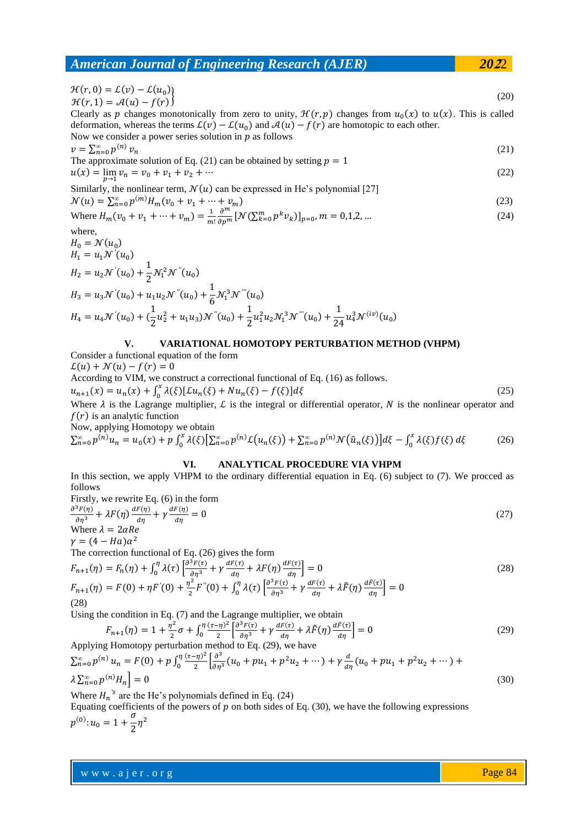$$
\mathcal{H}(r,0) = \mathcal{L}(v) - \mathcal{L}(u_0) \n\mathcal{H}(r,1) = \mathcal{A}(u) - f(r)
$$
\n(20)

Clearly as p changes monotonically from zero to unity,  $\mathcal{H}(r, p)$  changes from  $u_0(x)$  to  $u(x)$ . This is called deformation, whereas the terms  $\mathcal{L}(v) - \mathcal{L}(u_0)$  and  $\mathcal{A}(u) - f(r)$  are homotopic to each other.

Now we consider a power series solution in  $p$  as follows

 $v = \sum_{n=0}^{\infty} p^{(n)}$  $n_{n=0}^{\infty} p^{(n)} \nu_n$  (21) The approximate solution of Eq. (21) can be obtained by setting  $p = 1$ 

$$
u(x) = \lim_{p \to 1} v_n = v_0 + v_1 + v_2 + \dots \tag{22}
$$

Similarly, the nonlinear term,  $\mathcal{N}(u)$  can be expressed in He's polynomial [27]

$$
\mathcal{N}(u) = \sum_{n=0}^{\infty} p^{(m)} H_m(v_0 + v_1 + \dots + v_m)
$$

Where 
$$
H_m(v_0 + v_1 + \dots + v_m) = \frac{1}{m!} \frac{\partial^m}{\partial p^m} [N(\sum_{k=0}^m p^k v_k)]_{p=0}, m = 0,1,2,...
$$
 (24)

where,

$$
H_0 = \mathcal{N}(u_0)
$$
  
\n
$$
H_1 = u_1 \mathcal{N}'(u_0)
$$
  
\n
$$
H_2 = u_2 \mathcal{N}'(u_0) + \frac{1}{2} \mathcal{N}_1^2 \mathcal{N}''(u_0)
$$
  
\n
$$
H_3 = u_3 \mathcal{N}'(u_0) + u_1 u_2 \mathcal{N}''(u_0) + \frac{1}{6} \mathcal{N}_1^3 \mathcal{N}'''(u_0)
$$
  
\n
$$
H_4 = u_4 \mathcal{N}'(u_0) + (\frac{1}{2} u_2^2 + u_1 u_3) \mathcal{N}''(u_0) + \frac{1}{2} u_1^2 u_2 \mathcal{N}_1^3 \mathcal{N}'''(u_0) + \frac{1}{24} u_4^3 \mathcal{N}^{(iv)}(u_0)
$$

### **V. VARIATIONAL HOMOTOPY PERTURBATION METHOD (VHPM)**

Consider a functional equation of the form  $\mathcal{L}(u) + \mathcal{N}(u) - f(r) = 0$ According to VIM, we construct a correctional functional of Eq. (16) as follows.  $u_{n+1}(x) = u_n(x) + \int_0^x \lambda(\xi) [\mathcal{L}u_n(\xi) + Nu_n(\xi) - f(\xi)] d\xi$  (25) Where  $\lambda$  is the Lagrange multiplier,  $\mathcal L$  is the integral or differential operator,  $N$  is the nonlinear operator and  $f(r)$  is an analytic function Now, applying Homotopy we obtain  $\sum_{n=0}^{\infty} p^{(n)} u_n = u_0(x) + p \int_0^x \lambda(\xi) \left[ \sum_{n=0}^{\infty} p^{(n)} \mathcal{L}(u_n(\xi)) + \sum_{n=0}^{\infty} p^{(n)} \mathcal{N}(\tilde{u}_n(\xi)) \right] d\xi - \int_0^x \lambda(\xi) f(\xi)$ 0  $\boldsymbol{\chi}$ 0  $\sum_{n=0}^{\infty} p^{(n)} u_n = u_0(x) + p \int_0^x \lambda(\xi) \left[ \sum_{n=0}^{\infty} p^{(n)} \mathcal{L}(u_n(\xi)) + \sum_{n=0}^{\infty} p^{(n)} \mathcal{N}(\tilde{u}_n(\xi)) \right] d\xi - \int_0^x \lambda(\xi) f(\xi) d\xi$  (26)

#### **VI. ANALYTICAL PROCEDURE VIA VHPM**

In this section, we apply VHPM to the ordinary differential equation in Eq. (6) subject to (7). We procced as follows

Firstly, we rewrite Eq. (6) in the form  
\n
$$
\frac{\partial^3 F(\eta)}{\partial \eta^3} + \lambda F(\eta) \frac{dF(\eta)}{d\eta} + \gamma \frac{dF(\eta)}{d\eta} = 0
$$
\n(27)

Where  $\lambda = 2\alpha Re$  $\gamma = (4 - Ha)\alpha^2$ 

The correction functional of Eq. (26) gives the form

$$
F_{n+1}(\eta) = F_n(\eta) + \int_0^{\eta} \lambda(\tau) \left[ \frac{\partial^3 F(\tau)}{\partial \eta^3} + \gamma \frac{dF(\tau)}{d\eta} + \lambda F(\eta) \frac{dF(\tau)}{d\eta} \right] = 0
$$
  
\n
$$
F_{n+1}(\eta) = F(0) + \eta F'(0) + \frac{\eta^2}{2} F''(0) + \int_0^{\eta} \lambda(\tau) \left[ \frac{\partial^3 F(\tau)}{\partial \eta^3} + \gamma \frac{dF(\tau)}{d\eta} + \lambda \tilde{F}(\eta) \frac{d\tilde{F}(\tau)}{d\eta} \right] = 0
$$
\n(28)

Using the condition in Eq. (7) and the Lagrange multiplier, we obtain

$$
F_{n+1}(\eta) = 1 + \frac{\eta^2}{2}\sigma + \int_0^{\eta} \frac{(\tau - \eta)^2}{2} \left[ \frac{\partial^3 F(\tau)}{\partial \eta^3} + \gamma \frac{dF(\tau)}{d\eta} + \lambda \tilde{F}(\eta) \frac{dF(\tau)}{d\eta} \right] = 0
$$
(29)  
Applying Homotony perturbation method to Eq. (29), we have

$$
\sum_{n=0}^{\infty} p^{(n)} u_n = F(0) + p \int_0^{\eta} \frac{(\tau - \eta)^2}{2} \left[ \frac{\partial^3}{\partial \eta^3} (u_0 + p u_1 + p^2 u_2 + \cdots) + \gamma \frac{d}{d \eta} (u_0 + p u_1 + p^2 u_2 + \cdots) + \lambda \sum_{n=0}^{\infty} p^{(n)} H_n \right] = 0
$$
\n(30)

Where  $H_n^{\prime s}$  are the He's polynomials defined in Eq. (24)

Equating coefficients of the powers of  $p$  on both sides of Eq. (30), we have the following expressions  $p^{(0)}: u_0 = 1 + \frac{\sigma}{2}$  $\frac{0}{2}\eta^2$ 

(23)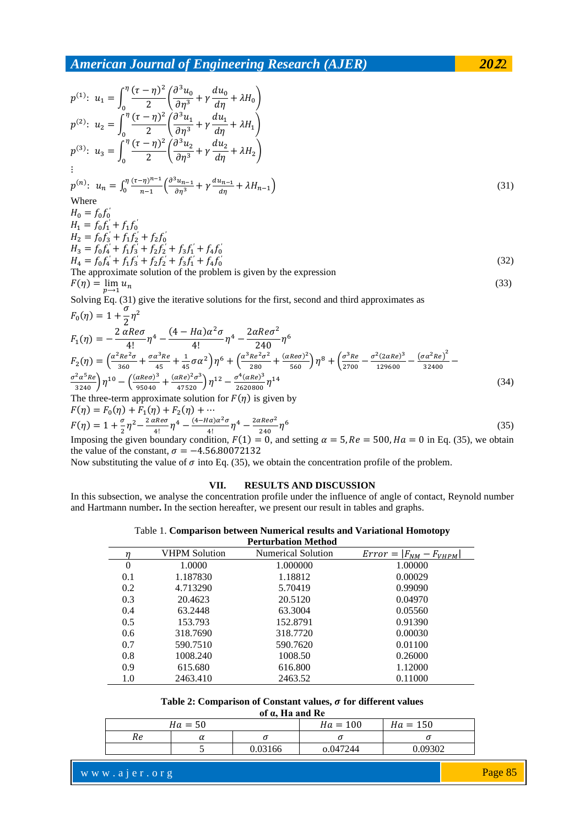$$
p^{(1)}: u_1 = \int_0^{\eta} \frac{(\tau - \eta)^2}{2} \left( \frac{\partial^3 u_0}{\partial \eta^3} + \gamma \frac{du_0}{d \eta} + \lambda H_0 \right)
$$
  
\n
$$
p^{(2)}: u_2 = \int_0^{\eta} \frac{(\tau - \eta)^2}{2} \left( \frac{\partial^3 u_1}{\partial \eta^3} + \gamma \frac{du_1}{d \eta} + \lambda H_1 \right)
$$
  
\n
$$
p^{(3)}: u_3 = \int_0^{\eta} \frac{(\tau - \eta)^2}{2} \left( \frac{\partial^3 u_2}{\partial \eta^3} + \gamma \frac{du_2}{d \eta} + \lambda H_2 \right)
$$
  
\n
$$
\vdots
$$
  
\n
$$
p^{(n)}: u_n = \int_0^{\eta} \frac{(\tau - \eta)^{n-1}}{n-1} \left( \frac{\partial^3 u_{n-1}}{\partial \eta^3} + \gamma \frac{du_{n-1}}{d \eta} + \lambda H_{n-1} \right)
$$
  
\nWhere  
\n
$$
H_0 = f_0 f_0'
$$
  
\n
$$
H_1 = f_0 f_1' + f_1 f_0'
$$
  
\n
$$
H_2 = f_0 f_3' + f_1 f_2' + f_2 f_0'
$$
  
\n
$$
H_3 = f_0 f_4' + f_1 f_3' + f_2 f_2' + f_3 f_1' + f_4 f_0'
$$
  
\n
$$
H_4 = f_0 f_4' + f_1 f_3' + f_2 f_2' + f_3 f_1' + f_4 f_0'
$$
  
\n
$$
H_5 = f_0 f_4' + f_1 f_3' + f_2 f_2' + f_3 f_1' + f_4 f_0'
$$
  
\n
$$
H_6 = f_0 f_4' + f_1 f_3' + f_2 f_2' + f_3 f_1' + f_4 f_0'
$$
  
\n
$$
H_7 = f_0 f_1' + f_1 f_3' + f_2 f_2' + f_3 f_1' + f_4 f_0'
$$
  
\n
$$
H_8 = f_0 f_4' + f_1 f_3' + f_2 f_2' +
$$

$$
F_0(\eta) = 1 + \frac{1}{2}\eta^2
$$
  
\n
$$
F_1(\eta) = -\frac{2 \alpha Re\sigma}{4!} \eta^4 - \frac{(4 - Ha)\alpha^2 \sigma}{4!} \eta^4 - \frac{2\alpha Re\sigma^2}{240} \eta^6
$$
  
\n
$$
F_2(\eta) = \left(\frac{\alpha^2 Re^2 \sigma}{360} + \frac{\sigma \alpha^3 Re}{45} + \frac{1}{45}\sigma \alpha^2\right) \eta^6 + \left(\frac{\alpha^3 Re^2 \sigma^2}{280} + \frac{(\alpha Re\sigma)^2}{560}\right) \eta^8 + \left(\frac{\sigma^3 Re}{2700} - \frac{\sigma^2 (2\alpha Re)^3}{129600} - \frac{(\sigma \alpha^2 Re)^2}{32400}\right) \frac{\sigma^2 \alpha^5 Re}{32400}
$$
  
\n
$$
\frac{\sigma^2 \alpha^5 Re}{3240} \eta^{10} - \left(\frac{(\alpha Re\sigma)^3}{95040} + \frac{(\alpha Re)^2 \sigma^3}{47520}\right) \eta^{12} - \frac{\sigma^4 (\alpha Re)^3}{2620800} \eta^{14}
$$
  
\nThe three-term approximate solution for  $F(\eta)$  is given by  
\n
$$
F(\eta) = F(\eta) + F(\eta) + F(\eta) + \dots
$$
\n(34)

$$
F(\eta) = F_0(\eta) + F_1(\eta) + F_2(\eta) + \cdots
$$
  
\n
$$
F(\eta) = 1 + \frac{\sigma}{2} \eta^2 - \frac{2 \alpha \text{Re}\sigma}{4!} \eta^4 - \frac{(4 - \text{Ha})\alpha^2 \sigma}{4!} \eta^4 - \frac{2 \alpha \text{Re}\sigma^2}{240} \eta^6
$$
  
\nImposing the given boundary condition  $F(1) = 0$  and setting  $\alpha = 5$   $\text{Re} = 500$   $\text{Ha} = 0$  in Eq. (35) we obtain

Imposing the given boundary condition,  $F(1) = 0$ , and setting  $\alpha = 5$ ,  $Re = 500$ ,  $Ha = 0$  in Eq. (35), we obtain the value of the constant,  $\sigma = -4.56.80072132$ 

Now substituting the value of  $\sigma$  into Eq. (35), we obtain the concentration profile of the problem.

## **VII. RESULTS AND DISCUSSION**

In this subsection, we analyse the concentration profile under the influence of angle of contact, Reynold number and Hartmann number**.** In the section hereafter, we present our result in tables and graphs.

| Table 1. Comparison between Numerical results and Variational Homotopy |  |  |  |
|------------------------------------------------------------------------|--|--|--|
|                                                                        |  |  |  |

|          |               | Perturbation Method       |                                       |
|----------|---------------|---------------------------|---------------------------------------|
|          | VHPM Solution | <b>Numerical Solution</b> | $ F_{NM} $<br>$Error =$<br>$F_{VHPM}$ |
| $\theta$ | 1.0000        | 1.000000                  | 1.00000                               |
| 0.1      | 1.187830      | 1.18812                   | 0.00029                               |
| 0.2      | 4.713290      | 5.70419                   | 0.99090                               |
| 0.3      | 20.4623       | 20.5120                   | 0.04970                               |
| 0.4      | 63.2448       | 63.3004                   | 0.05560                               |
| 0.5      | 153.793       | 152.8791                  | 0.91390                               |
| 0.6      | 318.7690      | 318.7720                  | 0.00030                               |
| 0.7      | 590.7510      | 590.7620                  | 0.01100                               |
| 0.8      | 1008.240      | 1008.50                   | 0.26000                               |
| 0.9      | 615.680       | 616.800                   | 1.12000                               |
| 1.0      | 2463.410      | 2463.52                   | 0.11000                               |

## Table 2: Comparison of Constant values,  $\sigma$  for different values

**of α, Ha and Re**

|    | $Ha = 50$ |         | $Ha = 100$ | $Ha = 150$ |
|----|-----------|---------|------------|------------|
| Re | u         |         |            |            |
|    |           | 0.03166 | 0.047244   | 0.09302    |

www.ajer.org where  $\mathcal{L} = \mathcal{L} \left( \mathcal{L} \right)$  is the set of  $\mathcal{L} \left( \mathcal{L} \right)$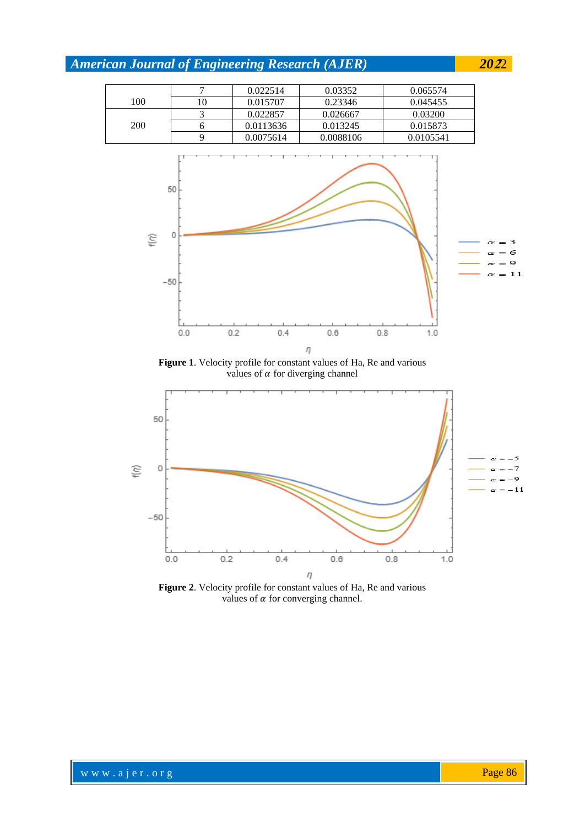

η **Figure 2**. Velocity profile for constant values of Ha, Re and various values of  $\alpha$  for converging channel.

 $0.6$ 

 $0.8$ 

 $1.0$ 

 $0.4$ 

 $0.0$ 

 $0.2$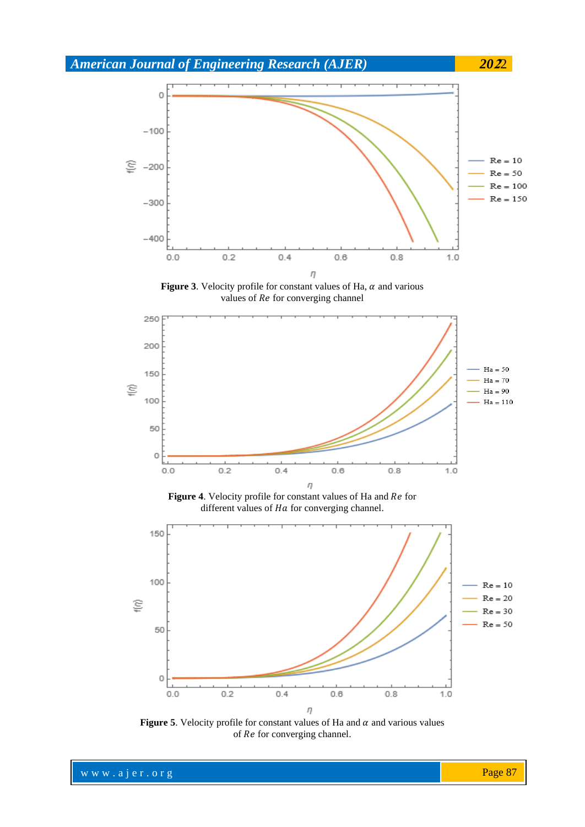





Figure 4. Velocity profile for constant values of Ha and Re for different values of  $Ha$  for converging channel.



**Figure 5**. Velocity profile for constant values of Ha and  $\alpha$  and various values of Re for converging channel.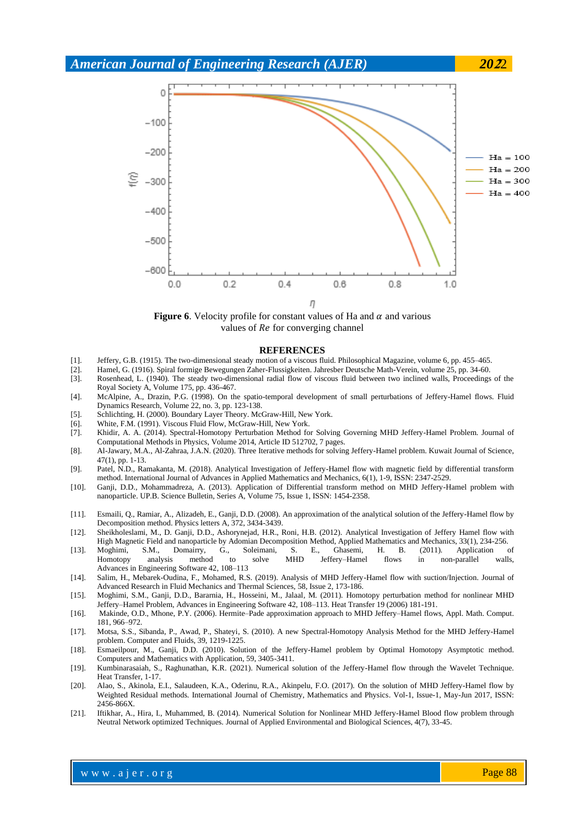

**Figure 6**. Velocity profile for constant values of Ha and  $\alpha$  and various values of  $Re$  for converging channel

#### **REFERENCES**

- [1]. Jeffery, G.B. (1915). The two-dimensional steady motion of a viscous fluid. Philosophical Magazine, volume 6, pp. 455–465.
- Hamel, G. (1916). Spiral formige Bewegungen Zaher-Flussigkeiten. Jahresber Deutsche Math-Verein, volume 25, pp. 34-60.
- [3]. Rosenhead, L. (1940). The steady two-dimensional radial flow of viscous fluid between two inclined walls, Proceedings of the Royal Society A, Volume 175, pp. 436-467.
- [4]. McAlpine, A., Drazin, P.G. (1998). On the spatio-temporal development of small perturbations of Jeffery-Hamel flows. Fluid Dynamics Research, Volume 22, no. 3, pp. 123-138.
- [5]. Schlichting, H. (2000). Boundary Layer Theory. McGraw-Hill, New York.
- [6]. White, F.M. (1991). Viscous Fluid Flow, McGraw-Hill, New York.
- [7]. Khidir, A. A. (2014). Spectral-Homotopy Perturbation Method for Solving Governing MHD Jeffery-Hamel Problem. Journal of Computational Methods in Physics, Volume 2014, Article ID 512702, 7 pages.
- [8]. Al-Jawary, M.A., Al-Zahraa, J.A.N. (2020). Three Iterative methods for solving Jeffery-Hamel problem. Kuwait Journal of Science, 47(1), pp. 1-13.
- [9]. Patel, N.D., Ramakanta, M. (2018). Analytical Investigation of Jeffery-Hamel flow with magnetic field by differential transform method. International Journal of Advances in Applied Mathematics and Mechanics, 6(1), 1-9, ISSN: 2347-2529.
- [10]. Ganji, D.D., Mohammadreza, A. (2013). Application of Differential transform method on MHD Jeffery-Hamel problem with nanoparticle. UP.B. Science Bulletin, Series A, Volume 75, Issue 1, ISSN: 1454-2358.
- [11]. Esmaili, Q., Ramiar, A., Alizadeh, E., Ganji, D.D. (2008). An approximation of the analytical solution of the Jeffery-Hamel flow by Decomposition method. Physics letters A, 372, 3434-3439.
- [12]. Sheikholeslami, M., D. Ganji, D.D., Ashorynejad, H.R., Roni, H.B. (2012). Analytical Investigation of Jeffery Hamel flow with High Magnetic Field and nanoparticle by Adomian Decomposition Method, Applied Mathematics and Mechanics, 33(1), 234-256.
- [13]. Moghimi, S.M., Domairry, G., Soleimani, S. E., Ghasemi, H. B*.* (2011)*.* Application of Moghimi, S.M., Domairry, G., Soleimani, S. E., Ghasemi, H. B. (2011). Application of Homotopy analysis method to solve MHD Jeffery–Hamel flows in non-parallel walls, Advances in Engineering Software 42, 108–113
- [14]. Salim, H., Mebarek-Oudina, F., Mohamed, R.S. (2019). Analysis of MHD Jeffery-Hamel flow with suction/Injection. Journal of Advanced Research in Fluid Mechanics and Thermal Sciences, 58, Issue 2, 173-186.
- [15]. Moghimi, S.M., Ganji, D.D., Bararnia, H., Hosseini, M., Jalaal*,* M*.* (2011)*.* Homotopy perturbation method for nonlinear MHD Jeffery–Hamel Problem, Advances in Engineering Software 42, 108–113. Heat Transfer 19 (2006) 181-191.
- [16]. Makinde, O.D., Mhone, P.Y. (2006). Hermite–Pade approximation approach to MHD Jeffery–Hamel flows, Appl. Math. Comput. 181, 966–972.
- [17]. Motsa, S.S., Sibanda, P., Awad, P., Shateyi, S. (2010). A new Spectral-Homotopy Analysis Method for the MHD Jeffery-Hamel problem. Computer and Fluids, 39, 1219-1225.
- [18]. Esmaeilpour, M., Ganji, D.D. (2010). Solution of the Jeffery-Hamel problem by Optimal Homotopy Asymptotic method. Computers and Mathematics with Application, 59, 3405-3411.
- [19]. Kumbinarasaiah, S., Raghunathan, K.R. (2021). Numerical solution of the Jeffery-Hamel flow through the Wavelet Technique. Heat Transfer, 1-17.
- [20]. Alao, S., Akinola, E.I., Salaudeen, K.A., Oderinu, R.A., Akinpelu, F.O. (2017). On the solution of MHD Jeffery-Hamel flow by Weighted Residual methods. International Journal of Chemistry, Mathematics and Physics. Vol-1, Issue-1, May-Jun 2017, ISSN: 2456-866X.
- [21]. Iftikhar, A., Hira, I., Muhammed, B. (2014). Numerical Solution for Nonlinear MHD Jeffery-Hamel Blood flow problem through Neutral Network optimized Techniques. Journal of Applied Environmental and Biological Sciences, 4(7), 33-45.